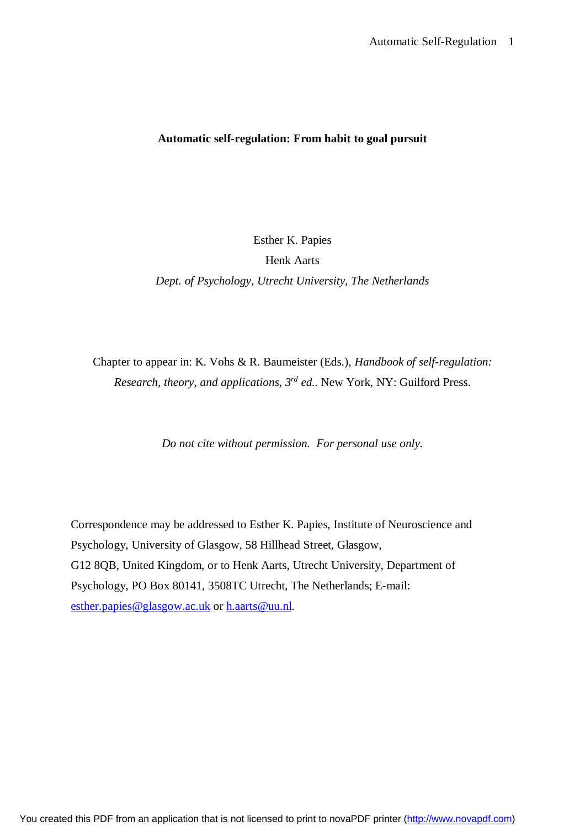# **Automatic self-regulation: From habit to goal pursuit**

Esther K. Papies Henk Aarts *Dept. of Psychology, Utrecht University, The Netherlands*

Chapter to appear in: K. Vohs & R. Baumeister (Eds.), *Handbook of self-regulation: Research, theory, and applications, 3rd ed..* New York, NY: Guilford Press.

*Do not cite without permission. For personal use only.*

Correspondence may be addressed to Esther K. Papies, Institute of Neuroscience and Psychology, University of Glasgow, 58 Hillhead Street, Glasgow, G12 8QB, United Kingdom, or to Henk Aarts, Utrecht University, Department of Psychology, PO Box 80141, 3508TC Utrecht, The Netherlands; E-mail: [esther.papies@glasgow.ac.uk](mailto:esther.papies@glasgow.ac.uk) or h.aarts@uu.nl.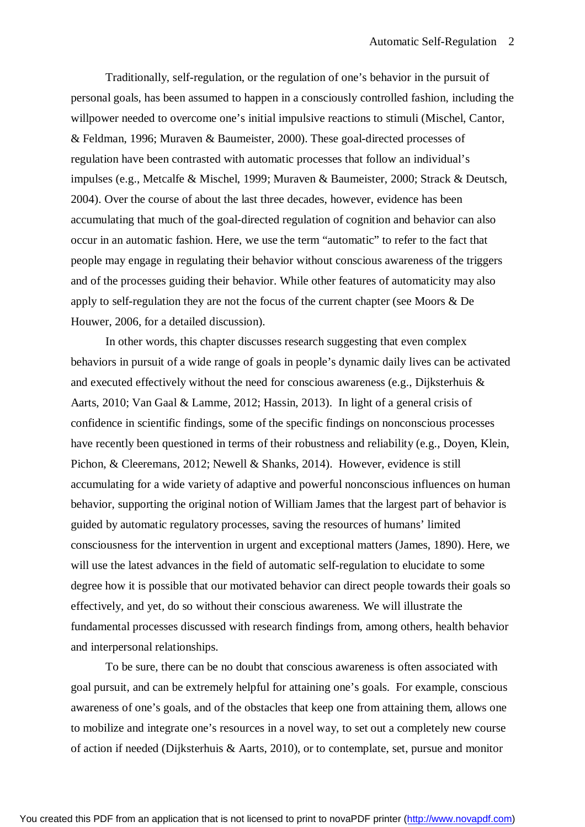Traditionally, self-regulation, or the regulation of one's behavior in the pursuit of personal goals, has been assumed to happen in a consciously controlled fashion, including the willpower needed to overcome one's initial impulsive reactions to stimuli (Mischel, Cantor, & Feldman, 1996; Muraven & Baumeister, 2000). These goal-directed processes of regulation have been contrasted with automatic processes that follow an individual's impulses (e.g., Metcalfe & Mischel, 1999; Muraven & Baumeister, 2000; Strack & Deutsch, 2004). Over the course of about the last three decades, however, evidence has been accumulating that much of the goal-directed regulation of cognition and behavior can also occur in an automatic fashion. Here, we use the term "automatic" to refer to the fact that people may engage in regulating their behavior without conscious awareness of the triggers and of the processes guiding their behavior. While other features of automaticity may also apply to self-regulation they are not the focus of the current chapter (see Moors & De Houwer, 2006, for a detailed discussion).

In other words, this chapter discusses research suggesting that even complex behaviors in pursuit of a wide range of goals in people's dynamic daily lives can be activated and executed effectively without the need for conscious awareness (e.g., Dijksterhuis & Aarts, 2010; Van Gaal & Lamme, 2012; Hassin, 2013). In light of a general crisis of confidence in scientific findings, some of the specific findings on nonconscious processes have recently been questioned in terms of their robustness and reliability (e.g., Doyen, Klein, Pichon, & Cleeremans, 2012; Newell & Shanks, 2014). However, evidence is still accumulating for a wide variety of adaptive and powerful nonconscious influences on human behavior, supporting the original notion of William James that the largest part of behavior is guided by automatic regulatory processes, saving the resources of humans' limited consciousness for the intervention in urgent and exceptional matters (James, 1890). Here, we will use the latest advances in the field of automatic self-regulation to elucidate to some degree how it is possible that our motivated behavior can direct people towards their goals so effectively, and yet, do so without their conscious awareness. We will illustrate the fundamental processes discussed with research findings from, among others, health behavior and interpersonal relationships.

To be sure, there can be no doubt that conscious awareness is often associated with goal pursuit, and can be extremely helpful for attaining one's goals. For example, conscious awareness of one's goals, and of the obstacles that keep one from attaining them, allows one to mobilize and integrate one's resources in a novel way, to set out a completely new course of action if needed (Dijksterhuis & Aarts, 2010), or to contemplate, set, pursue and monitor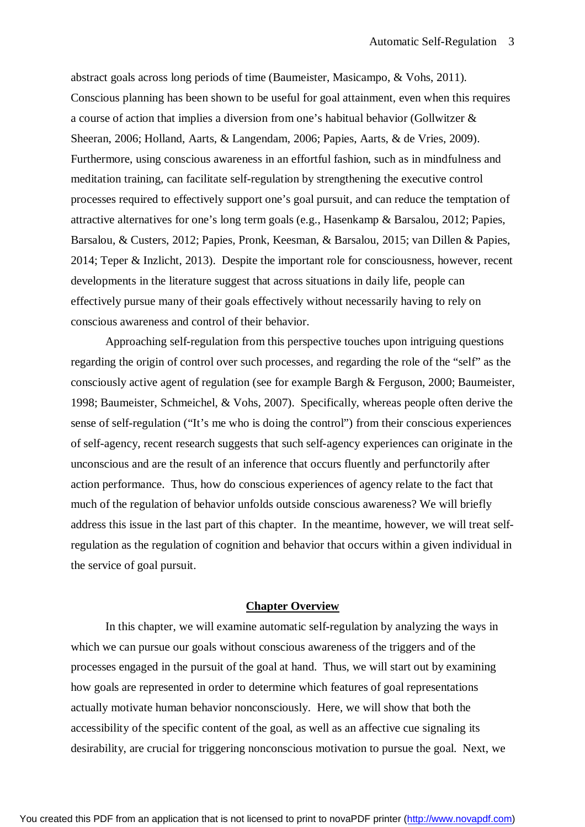abstract goals across long periods of time (Baumeister, Masicampo, & Vohs, 2011). Conscious planning has been shown to be useful for goal attainment, even when this requires a course of action that implies a diversion from one's habitual behavior (Gollwitzer & Sheeran, 2006; Holland, Aarts, & Langendam, 2006; Papies, Aarts, & de Vries, 2009). Furthermore, using conscious awareness in an effortful fashion, such as in mindfulness and meditation training, can facilitate self-regulation by strengthening the executive control processes required to effectively support one's goal pursuit, and can reduce the temptation of attractive alternatives for one's long term goals (e.g., Hasenkamp & Barsalou, 2012; Papies, Barsalou, & Custers, 2012; Papies, Pronk, Keesman, & Barsalou, 2015; van Dillen & Papies, 2014; Teper & Inzlicht, 2013). Despite the important role for consciousness, however, recent developments in the literature suggest that across situations in daily life, people can effectively pursue many of their goals effectively without necessarily having to rely on conscious awareness and control of their behavior.

Approaching self-regulation from this perspective touches upon intriguing questions regarding the origin of control over such processes, and regarding the role of the "self" as the consciously active agent of regulation (see for example Bargh & Ferguson, 2000; Baumeister, 1998; Baumeister, Schmeichel, & Vohs, 2007). Specifically, whereas people often derive the sense of self-regulation ("It's me who is doing the control") from their conscious experiences of self-agency, recent research suggests that such self-agency experiences can originate in the unconscious and are the result of an inference that occurs fluently and perfunctorily after action performance. Thus, how do conscious experiences of agency relate to the fact that much of the regulation of behavior unfolds outside conscious awareness? We will briefly address this issue in the last part of this chapter. In the meantime, however, we will treat selfregulation as the regulation of cognition and behavior that occurs within a given individual in the service of goal pursuit.

### **Chapter Overview**

In this chapter, we will examine automatic self-regulation by analyzing the ways in which we can pursue our goals without conscious awareness of the triggers and of the processes engaged in the pursuit of the goal at hand. Thus, we will start out by examining how goals are represented in order to determine which features of goal representations actually motivate human behavior nonconsciously. Here, we will show that both the accessibility of the specific content of the goal, as well as an affective cue signaling its desirability, are crucial for triggering nonconscious motivation to pursue the goal. Next, we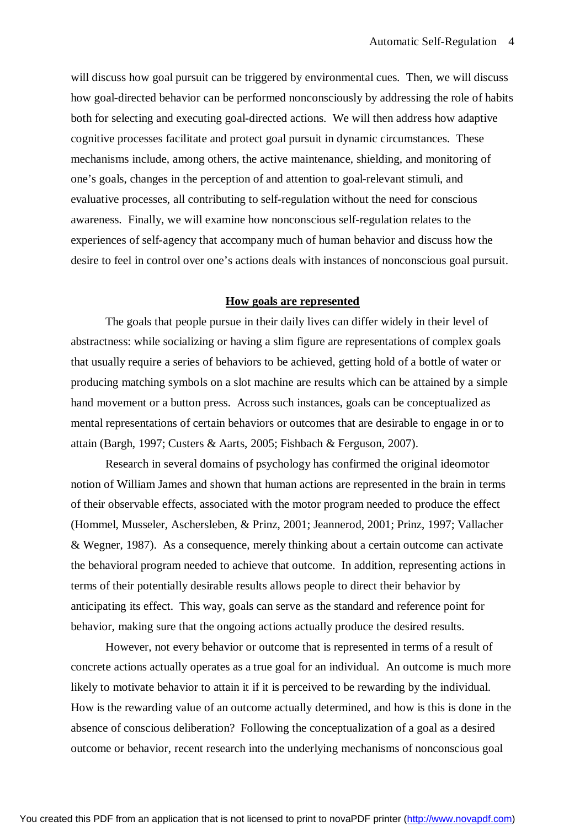will discuss how goal pursuit can be triggered by environmental cues. Then, we will discuss how goal-directed behavior can be performed nonconsciously by addressing the role of habits both for selecting and executing goal-directed actions. We will then address how adaptive cognitive processes facilitate and protect goal pursuit in dynamic circumstances. These mechanisms include, among others, the active maintenance, shielding, and monitoring of one's goals, changes in the perception of and attention to goal-relevant stimuli, and evaluative processes, all contributing to self-regulation without the need for conscious awareness. Finally, we will examine how nonconscious self-regulation relates to the experiences of self-agency that accompany much of human behavior and discuss how the desire to feel in control over one's actions deals with instances of nonconscious goal pursuit.

#### **How goals are represented**

The goals that people pursue in their daily lives can differ widely in their level of abstractness: while socializing or having a slim figure are representations of complex goals that usually require a series of behaviors to be achieved, getting hold of a bottle of water or producing matching symbols on a slot machine are results which can be attained by a simple hand movement or a button press. Across such instances, goals can be conceptualized as mental representations of certain behaviors or outcomes that are desirable to engage in or to attain (Bargh, 1997; Custers & Aarts, 2005; Fishbach & Ferguson, 2007).

Research in several domains of psychology has confirmed the original ideomotor notion of William James and shown that human actions are represented in the brain in terms of their observable effects, associated with the motor program needed to produce the effect (Hommel, Musseler, Aschersleben, & Prinz, 2001; Jeannerod, 2001; Prinz, 1997; Vallacher & Wegner, 1987). As a consequence, merely thinking about a certain outcome can activate the behavioral program needed to achieve that outcome. In addition, representing actions in terms of their potentially desirable results allows people to direct their behavior by anticipating its effect. This way, goals can serve as the standard and reference point for behavior, making sure that the ongoing actions actually produce the desired results.

However, not every behavior or outcome that is represented in terms of a result of concrete actions actually operates as a true goal for an individual. An outcome is much more likely to motivate behavior to attain it if it is perceived to be rewarding by the individual. How is the rewarding value of an outcome actually determined, and how is this is done in the absence of conscious deliberation? Following the conceptualization of a goal as a desired outcome or behavior, recent research into the underlying mechanisms of nonconscious goal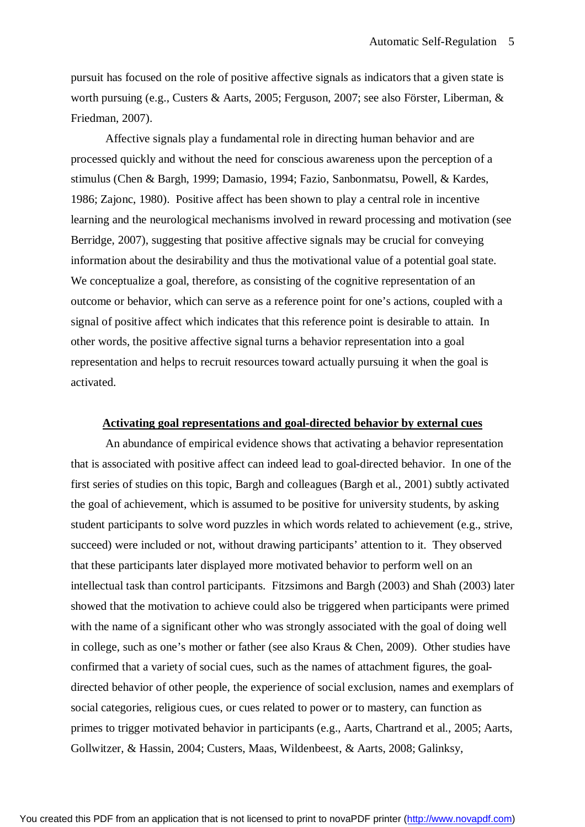pursuit has focused on the role of positive affective signals as indicators that a given state is worth pursuing (e.g., Custers & Aarts, 2005; Ferguson, 2007; see also Förster, Liberman, & Friedman, 2007).

Affective signals play a fundamental role in directing human behavior and are processed quickly and without the need for conscious awareness upon the perception of a stimulus (Chen & Bargh, 1999; Damasio, 1994; Fazio, Sanbonmatsu, Powell, & Kardes, 1986; Zajonc, 1980). Positive affect has been shown to play a central role in incentive learning and the neurological mechanisms involved in reward processing and motivation (see Berridge, 2007), suggesting that positive affective signals may be crucial for conveying information about the desirability and thus the motivational value of a potential goal state. We conceptualize a goal, therefore, as consisting of the cognitive representation of an outcome or behavior, which can serve as a reference point for one's actions, coupled with a signal of positive affect which indicates that this reference point is desirable to attain. In other words, the positive affective signal turns a behavior representation into a goal representation and helps to recruit resources toward actually pursuing it when the goal is activated.

#### **Activating goal representations and goal-directed behavior by external cues**

An abundance of empirical evidence shows that activating a behavior representation that is associated with positive affect can indeed lead to goal-directed behavior. In one of the first series of studies on this topic, Bargh and colleagues (Bargh et al., 2001) subtly activated the goal of achievement, which is assumed to be positive for university students, by asking student participants to solve word puzzles in which words related to achievement (e.g., strive, succeed) were included or not, without drawing participants' attention to it. They observed that these participants later displayed more motivated behavior to perform well on an intellectual task than control participants. Fitzsimons and Bargh (2003) and Shah (2003) later showed that the motivation to achieve could also be triggered when participants were primed with the name of a significant other who was strongly associated with the goal of doing well in college, such as one's mother or father (see also Kraus & Chen, 2009). Other studies have confirmed that a variety of social cues, such as the names of attachment figures, the goaldirected behavior of other people, the experience of social exclusion, names and exemplars of social categories, religious cues, or cues related to power or to mastery, can function as primes to trigger motivated behavior in participants (e.g., Aarts, Chartrand et al., 2005; Aarts, Gollwitzer, & Hassin, 2004; Custers, Maas, Wildenbeest, & Aarts, 2008; Galinksy,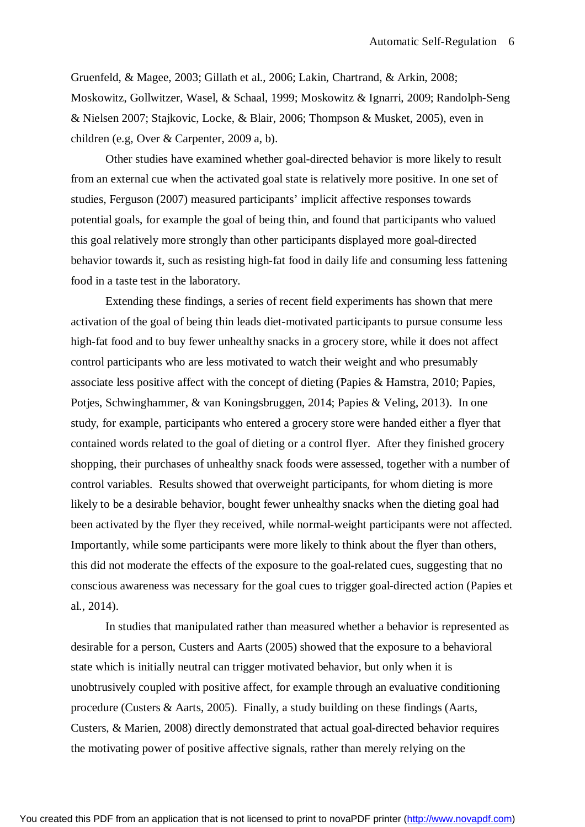Gruenfeld, & Magee, 2003; Gillath et al., 2006; Lakin, Chartrand, & Arkin, 2008; Moskowitz, Gollwitzer, Wasel, & Schaal, 1999; Moskowitz & Ignarri, 2009; Randolph-Seng & Nielsen 2007; Stajkovic, Locke, & Blair, 2006; Thompson & Musket, 2005), even in children (e.g, Over & Carpenter, 2009 a, b).

Other studies have examined whether goal-directed behavior is more likely to result from an external cue when the activated goal state is relatively more positive. In one set of studies, Ferguson (2007) measured participants' implicit affective responses towards potential goals, for example the goal of being thin, and found that participants who valued this goal relatively more strongly than other participants displayed more goal-directed behavior towards it, such as resisting high-fat food in daily life and consuming less fattening food in a taste test in the laboratory.

Extending these findings, a series of recent field experiments has shown that mere activation of the goal of being thin leads diet-motivated participants to pursue consume less high-fat food and to buy fewer unhealthy snacks in a grocery store, while it does not affect control participants who are less motivated to watch their weight and who presumably associate less positive affect with the concept of dieting (Papies & Hamstra, 2010; Papies, Potjes, Schwinghammer, & van Koningsbruggen, 2014; Papies & Veling, 2013). In one study, for example, participants who entered a grocery store were handed either a flyer that contained words related to the goal of dieting or a control flyer. After they finished grocery shopping, their purchases of unhealthy snack foods were assessed, together with a number of control variables. Results showed that overweight participants, for whom dieting is more likely to be a desirable behavior, bought fewer unhealthy snacks when the dieting goal had been activated by the flyer they received, while normal-weight participants were not affected. Importantly, while some participants were more likely to think about the flyer than others, this did not moderate the effects of the exposure to the goal-related cues, suggesting that no conscious awareness was necessary for the goal cues to trigger goal-directed action (Papies et al., 2014).

In studies that manipulated rather than measured whether a behavior is represented as desirable for a person, Custers and Aarts (2005) showed that the exposure to a behavioral state which is initially neutral can trigger motivated behavior, but only when it is unobtrusively coupled with positive affect, for example through an evaluative conditioning procedure (Custers & Aarts, 2005). Finally, a study building on these findings (Aarts, Custers, & Marien, 2008) directly demonstrated that actual goal-directed behavior requires the motivating power of positive affective signals, rather than merely relying on the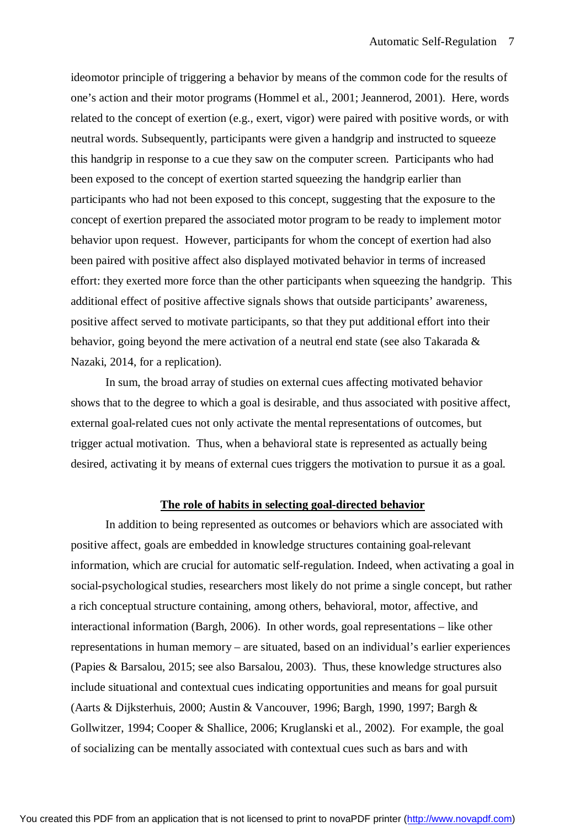ideomotor principle of triggering a behavior by means of the common code for the results of one's action and their motor programs (Hommel et al., 2001; Jeannerod, 2001). Here, words related to the concept of exertion (e.g., exert, vigor) were paired with positive words, or with neutral words. Subsequently, participants were given a handgrip and instructed to squeeze this handgrip in response to a cue they saw on the computer screen. Participants who had been exposed to the concept of exertion started squeezing the handgrip earlier than participants who had not been exposed to this concept, suggesting that the exposure to the concept of exertion prepared the associated motor program to be ready to implement motor behavior upon request. However, participants for whom the concept of exertion had also been paired with positive affect also displayed motivated behavior in terms of increased effort: they exerted more force than the other participants when squeezing the handgrip. This additional effect of positive affective signals shows that outside participants' awareness, positive affect served to motivate participants, so that they put additional effort into their behavior, going beyond the mere activation of a neutral end state (see also Takarada & Nazaki, 2014, for a replication).

In sum, the broad array of studies on external cues affecting motivated behavior shows that to the degree to which a goal is desirable, and thus associated with positive affect, external goal-related cues not only activate the mental representations of outcomes, but trigger actual motivation. Thus, when a behavioral state is represented as actually being desired, activating it by means of external cues triggers the motivation to pursue it as a goal.

### **The role of habits in selecting goal-directed behavior**

In addition to being represented as outcomes or behaviors which are associated with positive affect, goals are embedded in knowledge structures containing goal-relevant information, which are crucial for automatic self-regulation. Indeed, when activating a goal in social-psychological studies, researchers most likely do not prime a single concept, but rather a rich conceptual structure containing, among others, behavioral, motor, affective, and interactional information (Bargh, 2006). In other words, goal representations – like other representations in human memory – are situated, based on an individual's earlier experiences (Papies & Barsalou, 2015; see also Barsalou, 2003). Thus, these knowledge structures also include situational and contextual cues indicating opportunities and means for goal pursuit (Aarts & Dijksterhuis, 2000; Austin & Vancouver, 1996; Bargh, 1990, 1997; Bargh & Gollwitzer, 1994; Cooper & Shallice, 2006; Kruglanski et al., 2002). For example, the goal of socializing can be mentally associated with contextual cues such as bars and with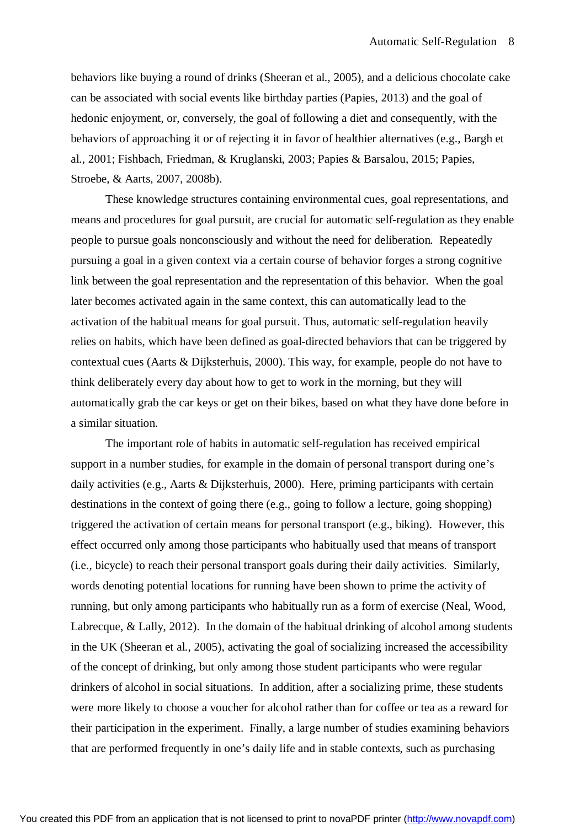behaviors like buying a round of drinks (Sheeran et al., 2005), and a delicious chocolate cake can be associated with social events like birthday parties (Papies, 2013) and the goal of hedonic enjoyment, or, conversely, the goal of following a diet and consequently, with the behaviors of approaching it or of rejecting it in favor of healthier alternatives (e.g., Bargh et al., 2001; Fishbach, Friedman, & Kruglanski, 2003; Papies & Barsalou, 2015; Papies, Stroebe, & Aarts, 2007, 2008b).

These knowledge structures containing environmental cues, goal representations, and means and procedures for goal pursuit, are crucial for automatic self-regulation as they enable people to pursue goals nonconsciously and without the need for deliberation. Repeatedly pursuing a goal in a given context via a certain course of behavior forges a strong cognitive link between the goal representation and the representation of this behavior. When the goal later becomes activated again in the same context, this can automatically lead to the activation of the habitual means for goal pursuit. Thus, automatic self-regulation heavily relies on habits, which have been defined as goal-directed behaviors that can be triggered by contextual cues (Aarts & Dijksterhuis, 2000). This way, for example, people do not have to think deliberately every day about how to get to work in the morning, but they will automatically grab the car keys or get on their bikes, based on what they have done before in a similar situation.

The important role of habits in automatic self-regulation has received empirical support in a number studies, for example in the domain of personal transport during one's daily activities (e.g., Aarts & Dijksterhuis, 2000). Here, priming participants with certain destinations in the context of going there (e.g., going to follow a lecture, going shopping) triggered the activation of certain means for personal transport (e.g., biking). However, this effect occurred only among those participants who habitually used that means of transport (i.e., bicycle) to reach their personal transport goals during their daily activities. Similarly, words denoting potential locations for running have been shown to prime the activity of running, but only among participants who habitually run as a form of exercise (Neal, Wood, Labrecque, & Lally, 2012). In the domain of the habitual drinking of alcohol among students in the UK (Sheeran et al., 2005), activating the goal of socializing increased the accessibility of the concept of drinking, but only among those student participants who were regular drinkers of alcohol in social situations. In addition, after a socializing prime, these students were more likely to choose a voucher for alcohol rather than for coffee or tea as a reward for their participation in the experiment. Finally, a large number of studies examining behaviors that are performed frequently in one's daily life and in stable contexts, such as purchasing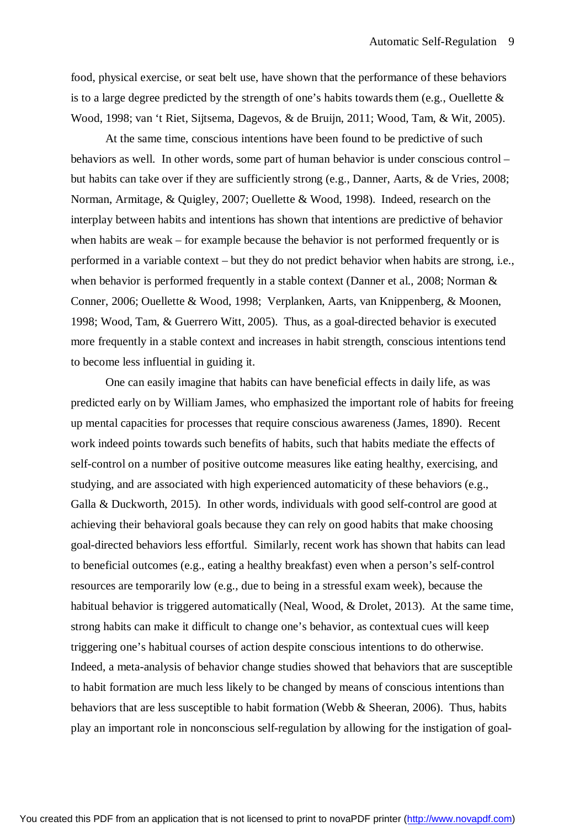food, physical exercise, or seat belt use, have shown that the performance of these behaviors is to a large degree predicted by the strength of one's habits towards them (e.g., Ouellette  $\&$ Wood, 1998; van 't Riet, Sijtsema, Dagevos, & de Bruijn, 2011; Wood, Tam, & Wit, 2005).

At the same time, conscious intentions have been found to be predictive of such behaviors as well. In other words, some part of human behavior is under conscious control – but habits can take over if they are sufficiently strong (e.g., Danner, Aarts, & de Vries, 2008; Norman, Armitage, & Quigley, 2007; Ouellette & Wood, 1998). Indeed, research on the interplay between habits and intentions has shown that intentions are predictive of behavior when habits are weak – for example because the behavior is not performed frequently or is performed in a variable context – but they do not predict behavior when habits are strong, i.e., when behavior is performed frequently in a stable context (Danner et al., 2008; Norman & Conner, 2006; Ouellette & Wood, 1998; Verplanken, Aarts, van Knippenberg, & Moonen, 1998; Wood, Tam, & Guerrero Witt, 2005). Thus, as a goal-directed behavior is executed more frequently in a stable context and increases in habit strength, conscious intentions tend to become less influential in guiding it.

One can easily imagine that habits can have beneficial effects in daily life, as was predicted early on by William James, who emphasized the important role of habits for freeing up mental capacities for processes that require conscious awareness (James, 1890). Recent work indeed points towards such benefits of habits, such that habits mediate the effects of self-control on a number of positive outcome measures like eating healthy, exercising, and studying, and are associated with high experienced automaticity of these behaviors (e.g., Galla & Duckworth, 2015). In other words, individuals with good self-control are good at achieving their behavioral goals because they can rely on good habits that make choosing goal-directed behaviors less effortful. Similarly, recent work has shown that habits can lead to beneficial outcomes (e.g., eating a healthy breakfast) even when a person's self-control resources are temporarily low (e.g., due to being in a stressful exam week), because the habitual behavior is triggered automatically (Neal, Wood, & Drolet, 2013). At the same time, strong habits can make it difficult to change one's behavior, as contextual cues will keep triggering one's habitual courses of action despite conscious intentions to do otherwise. Indeed, a meta-analysis of behavior change studies showed that behaviors that are susceptible to habit formation are much less likely to be changed by means of conscious intentions than behaviors that are less susceptible to habit formation (Webb & Sheeran, 2006). Thus, habits play an important role in nonconscious self-regulation by allowing for the instigation of goal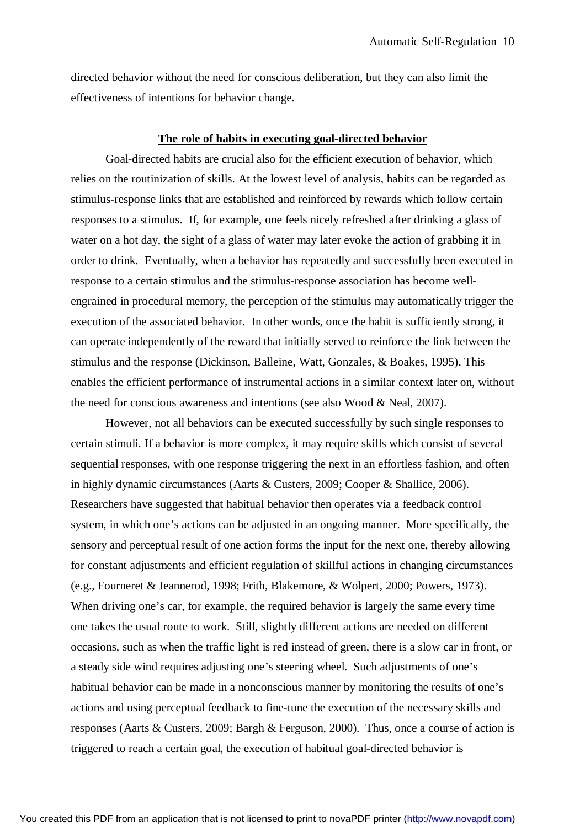directed behavior without the need for conscious deliberation, but they can also limit the effectiveness of intentions for behavior change.

## **The role of habits in executing goal-directed behavior**

Goal-directed habits are crucial also for the efficient execution of behavior, which relies on the routinization of skills. At the lowest level of analysis, habits can be regarded as stimulus-response links that are established and reinforced by rewards which follow certain responses to a stimulus. If, for example, one feels nicely refreshed after drinking a glass of water on a hot day, the sight of a glass of water may later evoke the action of grabbing it in order to drink. Eventually, when a behavior has repeatedly and successfully been executed in response to a certain stimulus and the stimulus-response association has become wellengrained in procedural memory, the perception of the stimulus may automatically trigger the execution of the associated behavior. In other words, once the habit is sufficiently strong, it can operate independently of the reward that initially served to reinforce the link between the stimulus and the response (Dickinson, Balleine, Watt, Gonzales, & Boakes, 1995). This enables the efficient performance of instrumental actions in a similar context later on, without the need for conscious awareness and intentions (see also Wood & Neal, 2007).

However, not all behaviors can be executed successfully by such single responses to certain stimuli. If a behavior is more complex, it may require skills which consist of several sequential responses, with one response triggering the next in an effortless fashion, and often in highly dynamic circumstances (Aarts & Custers, 2009; Cooper & Shallice, 2006). Researchers have suggested that habitual behavior then operates via a feedback control system, in which one's actions can be adjusted in an ongoing manner. More specifically, the sensory and perceptual result of one action forms the input for the next one, thereby allowing for constant adjustments and efficient regulation of skillful actions in changing circumstances (e.g., Fourneret & Jeannerod, 1998; Frith, Blakemore, & Wolpert, 2000; Powers, 1973). When driving one's car, for example, the required behavior is largely the same every time one takes the usual route to work. Still, slightly different actions are needed on different occasions, such as when the traffic light is red instead of green, there is a slow car in front, or a steady side wind requires adjusting one's steering wheel. Such adjustments of one's habitual behavior can be made in a nonconscious manner by monitoring the results of one's actions and using perceptual feedback to fine-tune the execution of the necessary skills and responses (Aarts & Custers, 2009; Bargh & Ferguson, 2000). Thus, once a course of action is triggered to reach a certain goal, the execution of habitual goal-directed behavior is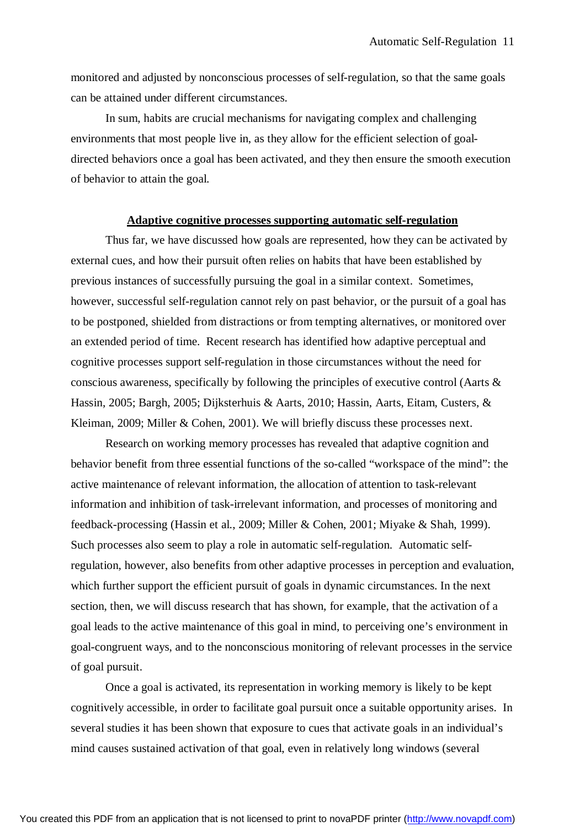monitored and adjusted by nonconscious processes of self-regulation, so that the same goals can be attained under different circumstances.

In sum, habits are crucial mechanisms for navigating complex and challenging environments that most people live in, as they allow for the efficient selection of goaldirected behaviors once a goal has been activated, and they then ensure the smooth execution of behavior to attain the goal.

## **Adaptive cognitive processes supporting automatic self-regulation**

Thus far, we have discussed how goals are represented, how they can be activated by external cues, and how their pursuit often relies on habits that have been established by previous instances of successfully pursuing the goal in a similar context. Sometimes, however, successful self-regulation cannot rely on past behavior, or the pursuit of a goal has to be postponed, shielded from distractions or from tempting alternatives, or monitored over an extended period of time. Recent research has identified how adaptive perceptual and cognitive processes support self-regulation in those circumstances without the need for conscious awareness, specifically by following the principles of executive control (Aarts & Hassin, 2005; Bargh, 2005; Dijksterhuis & Aarts, 2010; Hassin, Aarts, Eitam, Custers, & Kleiman, 2009; Miller & Cohen, 2001). We will briefly discuss these processes next.

Research on working memory processes has revealed that adaptive cognition and behavior benefit from three essential functions of the so-called "workspace of the mind": the active maintenance of relevant information, the allocation of attention to task-relevant information and inhibition of task-irrelevant information, and processes of monitoring and feedback-processing (Hassin et al., 2009; Miller & Cohen, 2001; Miyake & Shah, 1999). Such processes also seem to play a role in automatic self-regulation. Automatic selfregulation, however, also benefits from other adaptive processes in perception and evaluation, which further support the efficient pursuit of goals in dynamic circumstances. In the next section, then, we will discuss research that has shown, for example, that the activation of a goal leads to the active maintenance of this goal in mind, to perceiving one's environment in goal-congruent ways, and to the nonconscious monitoring of relevant processes in the service of goal pursuit.

Once a goal is activated, its representation in working memory is likely to be kept cognitively accessible, in order to facilitate goal pursuit once a suitable opportunity arises. In several studies it has been shown that exposure to cues that activate goals in an individual's mind causes sustained activation of that goal, even in relatively long windows (several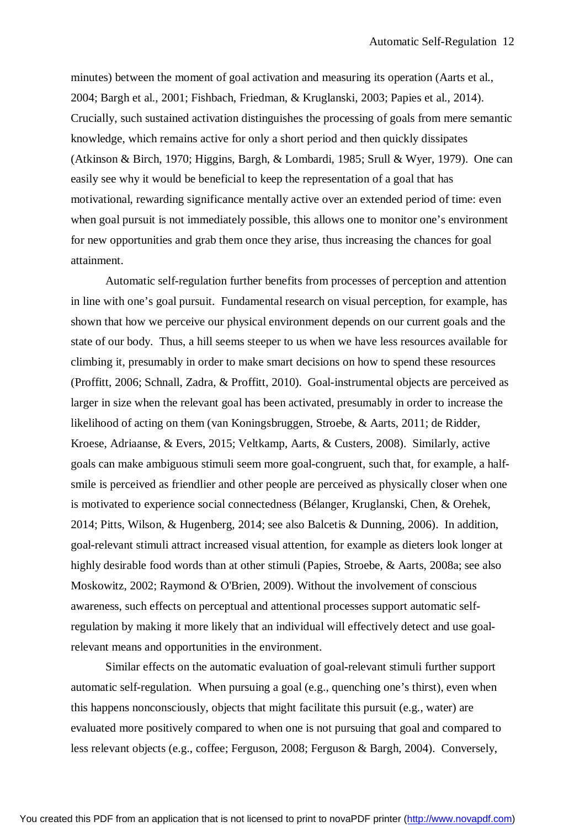minutes) between the moment of goal activation and measuring its operation (Aarts et al., 2004; Bargh et al., 2001; Fishbach, Friedman, & Kruglanski, 2003; Papies et al., 2014). Crucially, such sustained activation distinguishes the processing of goals from mere semantic knowledge, which remains active for only a short period and then quickly dissipates (Atkinson & Birch, 1970; Higgins, Bargh, & Lombardi, 1985; Srull & Wyer, 1979). One can easily see why it would be beneficial to keep the representation of a goal that has motivational, rewarding significance mentally active over an extended period of time: even when goal pursuit is not immediately possible, this allows one to monitor one's environment for new opportunities and grab them once they arise, thus increasing the chances for goal attainment.

Automatic self-regulation further benefits from processes of perception and attention in line with one's goal pursuit. Fundamental research on visual perception, for example, has shown that how we perceive our physical environment depends on our current goals and the state of our body. Thus, a hill seems steeper to us when we have less resources available for climbing it, presumably in order to make smart decisions on how to spend these resources (Proffitt, 2006; Schnall, Zadra, & Proffitt, 2010). Goal-instrumental objects are perceived as larger in size when the relevant goal has been activated, presumably in order to increase the likelihood of acting on them (van Koningsbruggen, Stroebe, & Aarts, 2011; de Ridder, Kroese, Adriaanse, & Evers, 2015; Veltkamp, Aarts, & Custers, 2008). Similarly, active goals can make ambiguous stimuli seem more goal-congruent, such that, for example, a halfsmile is perceived as friendlier and other people are perceived as physically closer when one is motivated to experience social connectedness (Bélanger, Kruglanski, Chen, & Orehek, 2014; Pitts, Wilson, & Hugenberg, 2014; see also Balcetis & Dunning, 2006). In addition, goal-relevant stimuli attract increased visual attention, for example as dieters look longer at highly desirable food words than at other stimuli (Papies, Stroebe, & Aarts, 2008a; see also Moskowitz, 2002; Raymond & O'Brien, 2009). Without the involvement of conscious awareness, such effects on perceptual and attentional processes support automatic selfregulation by making it more likely that an individual will effectively detect and use goalrelevant means and opportunities in the environment.

Similar effects on the automatic evaluation of goal-relevant stimuli further support automatic self-regulation. When pursuing a goal (e.g., quenching one's thirst), even when this happens nonconsciously, objects that might facilitate this pursuit (e.g., water) are evaluated more positively compared to when one is not pursuing that goal and compared to less relevant objects (e.g., coffee; Ferguson, 2008; Ferguson & Bargh, 2004). Conversely,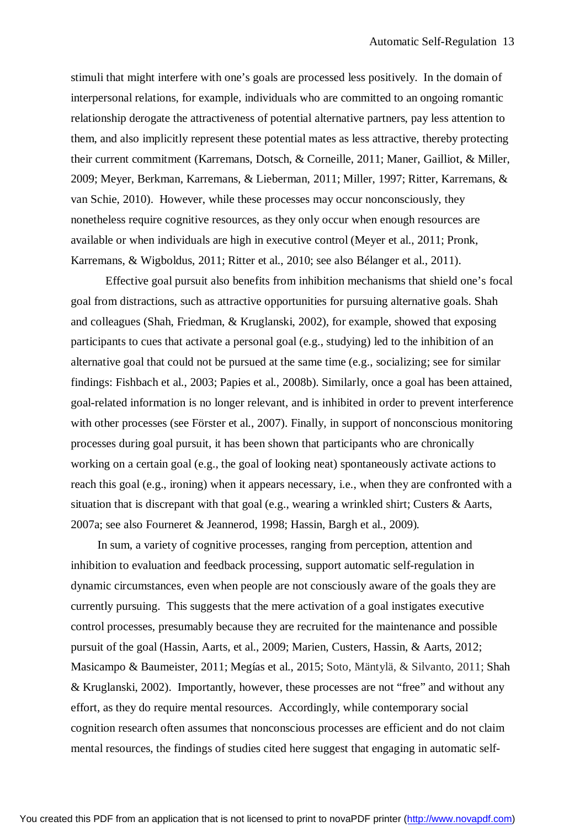stimuli that might interfere with one's goals are processed less positively. In the domain of interpersonal relations, for example, individuals who are committed to an ongoing romantic relationship derogate the attractiveness of potential alternative partners, pay less attention to them, and also implicitly represent these potential mates as less attractive, thereby protecting their current commitment (Karremans, Dotsch, & Corneille, 2011; Maner, Gailliot, & Miller, 2009; Meyer, Berkman, Karremans, & Lieberman, 2011; Miller, 1997; Ritter, Karremans, & van Schie, 2010). However, while these processes may occur nonconsciously, they nonetheless require cognitive resources, as they only occur when enough resources are available or when individuals are high in executive control (Meyer et al., 2011; Pronk, Karremans, & Wigboldus, 2011; Ritter et al., 2010; see also Bélanger et al., 2011).

Effective goal pursuit also benefits from inhibition mechanisms that shield one's focal goal from distractions, such as attractive opportunities for pursuing alternative goals. Shah and colleagues (Shah, Friedman, & Kruglanski, 2002), for example, showed that exposing participants to cues that activate a personal goal (e.g., studying) led to the inhibition of an alternative goal that could not be pursued at the same time (e.g., socializing; see for similar findings: Fishbach et al., 2003; Papies et al., 2008b). Similarly, once a goal has been attained, goal-related information is no longer relevant, and is inhibited in order to prevent interference with other processes (see Förster et al., 2007). Finally, in support of nonconscious monitoring processes during goal pursuit, it has been shown that participants who are chronically working on a certain goal (e.g., the goal of looking neat) spontaneously activate actions to reach this goal (e.g., ironing) when it appears necessary, i.e., when they are confronted with a situation that is discrepant with that goal (e.g., wearing a wrinkled shirt; Custers & Aarts, 2007a; see also Fourneret & Jeannerod, 1998; Hassin, Bargh et al., 2009).

In sum, a variety of cognitive processes, ranging from perception, attention and inhibition to evaluation and feedback processing, support automatic self-regulation in dynamic circumstances, even when people are not consciously aware of the goals they are currently pursuing. This suggests that the mere activation of a goal instigates executive control processes, presumably because they are recruited for the maintenance and possible pursuit of the goal (Hassin, Aarts, et al., 2009; Marien, Custers, Hassin, & Aarts, 2012; Masicampo & Baumeister, 2011; Megías et al., 2015; Soto, Mäntylä, & Silvanto, 2011; Shah & Kruglanski, 2002). Importantly, however, these processes are not "free" and without any effort, as they do require mental resources. Accordingly, while contemporary social cognition research often assumes that nonconscious processes are efficient and do not claim mental resources, the findings of studies cited here suggest that engaging in automatic self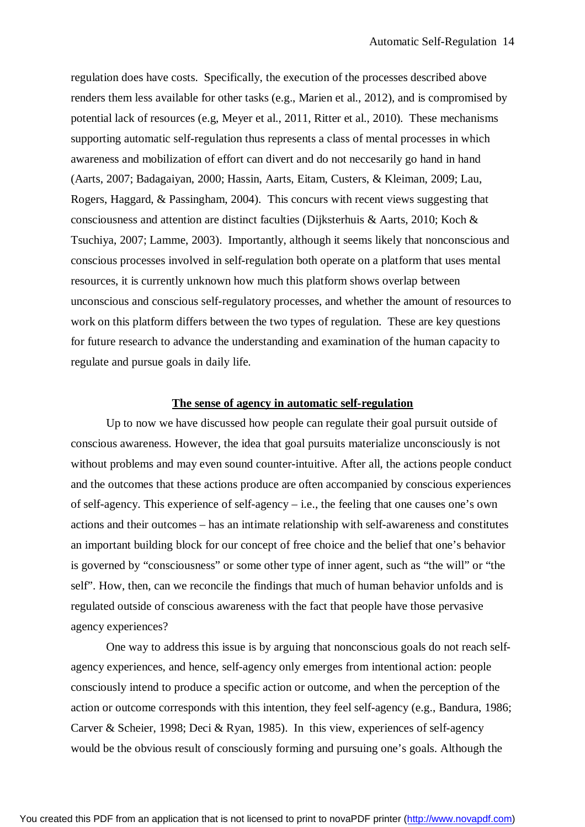regulation does have costs. Specifically, the execution of the processes described above renders them less available for other tasks (e.g., Marien et al., 2012), and is compromised by potential lack of resources (e.g, Meyer et al., 2011, Ritter et al., 2010). These mechanisms supporting automatic self-regulation thus represents a class of mental processes in which awareness and mobilization of effort can divert and do not neccesarily go hand in hand (Aarts, 2007; Badagaiyan, 2000; Hassin, Aarts, Eitam, Custers, & Kleiman, 2009; Lau, Rogers, Haggard, & Passingham, 2004). This concurs with recent views suggesting that consciousness and attention are distinct faculties (Dijksterhuis & Aarts, 2010; Koch & Tsuchiya, 2007; Lamme, 2003). Importantly, although it seems likely that nonconscious and conscious processes involved in self-regulation both operate on a platform that uses mental resources, it is currently unknown how much this platform shows overlap between unconscious and conscious self-regulatory processes, and whether the amount of resources to work on this platform differs between the two types of regulation. These are key questions for future research to advance the understanding and examination of the human capacity to regulate and pursue goals in daily life.

### **The sense of agency in automatic self-regulation**

Up to now we have discussed how people can regulate their goal pursuit outside of conscious awareness. However, the idea that goal pursuits materialize unconsciously is not without problems and may even sound counter-intuitive. After all, the actions people conduct and the outcomes that these actions produce are often accompanied by conscious experiences of self-agency. This experience of self-agency – i.e., the feeling that one causes one's own actions and their outcomes – has an intimate relationship with self-awareness and constitutes an important building block for our concept of free choice and the belief that one's behavior is governed by "consciousness" or some other type of inner agent, such as "the will" or "the self". How, then, can we reconcile the findings that much of human behavior unfolds and is regulated outside of conscious awareness with the fact that people have those pervasive agency experiences?

One way to address this issue is by arguing that nonconscious goals do not reach selfagency experiences, and hence, self-agency only emerges from intentional action: people consciously intend to produce a specific action or outcome, and when the perception of the action or outcome corresponds with this intention, they feel self-agency (e.g., Bandura, 1986; Carver & Scheier, 1998; Deci & Ryan, 1985). In this view, experiences of self-agency would be the obvious result of consciously forming and pursuing one's goals. Although the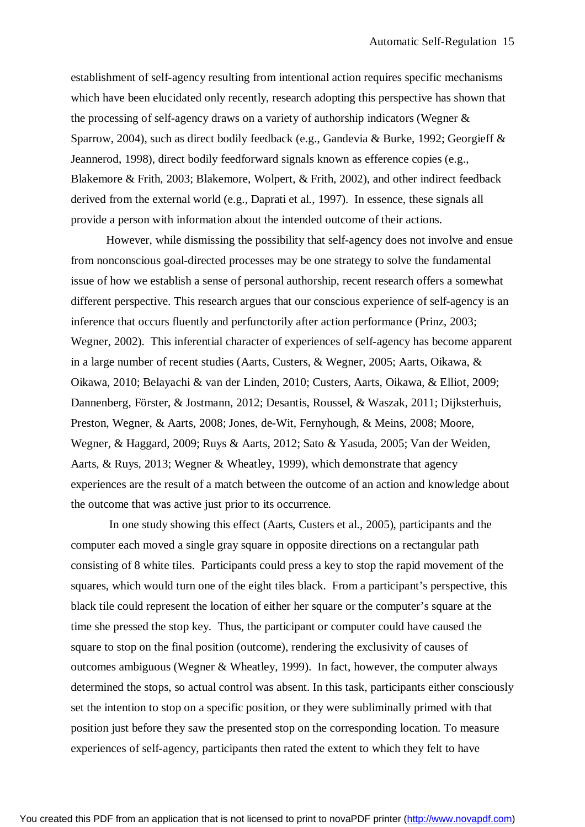establishment of self-agency resulting from intentional action requires specific mechanisms which have been elucidated only recently, research adopting this perspective has shown that the processing of self-agency draws on a variety of authorship indicators (Wegner & Sparrow, 2004), such as direct bodily feedback (e.g., Gandevia & Burke, 1992; Georgieff & Jeannerod, 1998), direct bodily feedforward signals known as efference copies (e.g., Blakemore & Frith, 2003; Blakemore, Wolpert, & Frith, 2002), and other indirect feedback derived from the external world (e.g., Daprati et al., 1997). In essence, these signals all provide a person with information about the intended outcome of their actions.

However, while dismissing the possibility that self-agency does not involve and ensue from nonconscious goal-directed processes may be one strategy to solve the fundamental issue of how we establish a sense of personal authorship, recent research offers a somewhat different perspective. This research argues that our conscious experience of self-agency is an inference that occurs fluently and perfunctorily after action performance (Prinz, 2003; Wegner, 2002). This inferential character of experiences of self-agency has become apparent in a large number of recent studies (Aarts, Custers, & Wegner, 2005; Aarts, Oikawa, & Oikawa, 2010; Belayachi & van der Linden, 2010; Custers, Aarts, Oikawa, & Elliot, 2009; Dannenberg, Förster, & Jostmann, 2012; Desantis, Roussel, & Waszak, 2011; Dijksterhuis, Preston, Wegner, & Aarts, 2008; Jones, de-Wit, Fernyhough, & Meins, 2008; Moore, Wegner, & Haggard, 2009; Ruys & Aarts, 2012; Sato & Yasuda, 2005; Van der Weiden, Aarts, & Ruys, 2013; Wegner & Wheatley, 1999), which demonstrate that agency experiences are the result of a match between the outcome of an action and knowledge about the outcome that was active just prior to its occurrence.

In one study showing this effect (Aarts, Custers et al., 2005), participants and the computer each moved a single gray square in opposite directions on a rectangular path consisting of 8 white tiles. Participants could press a key to stop the rapid movement of the squares, which would turn one of the eight tiles black. From a participant's perspective, this black tile could represent the location of either her square or the computer's square at the time she pressed the stop key. Thus, the participant or computer could have caused the square to stop on the final position (outcome), rendering the exclusivity of causes of outcomes ambiguous (Wegner & Wheatley, 1999). In fact, however, the computer always determined the stops, so actual control was absent. In this task, participants either consciously set the intention to stop on a specific position, or they were subliminally primed with that position just before they saw the presented stop on the corresponding location. To measure experiences of self-agency, participants then rated the extent to which they felt to have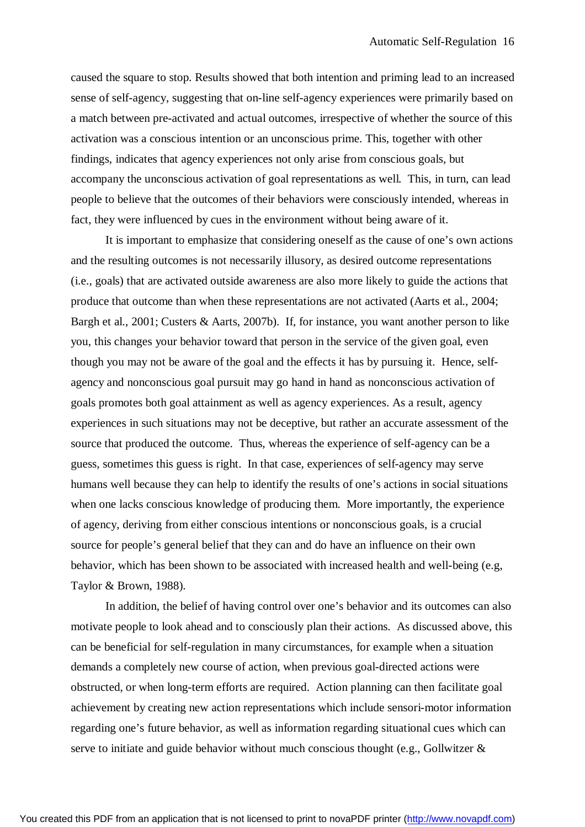caused the square to stop. Results showed that both intention and priming lead to an increased sense of self-agency, suggesting that on-line self-agency experiences were primarily based on a match between pre-activated and actual outcomes, irrespective of whether the source of this activation was a conscious intention or an unconscious prime. This, together with other findings, indicates that agency experiences not only arise from conscious goals, but accompany the unconscious activation of goal representations as well. This, in turn, can lead people to believe that the outcomes of their behaviors were consciously intended, whereas in fact, they were influenced by cues in the environment without being aware of it.

It is important to emphasize that considering oneself as the cause of one's own actions and the resulting outcomes is not necessarily illusory, as desired outcome representations (i.e., goals) that are activated outside awareness are also more likely to guide the actions that produce that outcome than when these representations are not activated (Aarts et al., 2004; Bargh et al., 2001; Custers & Aarts, 2007b). If, for instance, you want another person to like you, this changes your behavior toward that person in the service of the given goal, even though you may not be aware of the goal and the effects it has by pursuing it. Hence, selfagency and nonconscious goal pursuit may go hand in hand as nonconscious activation of goals promotes both goal attainment as well as agency experiences. As a result, agency experiences in such situations may not be deceptive, but rather an accurate assessment of the source that produced the outcome. Thus, whereas the experience of self-agency can be a guess, sometimes this guess is right. In that case, experiences of self-agency may serve humans well because they can help to identify the results of one's actions in social situations when one lacks conscious knowledge of producing them. More importantly, the experience of agency, deriving from either conscious intentions or nonconscious goals, is a crucial source for people's general belief that they can and do have an influence on their own behavior, which has been shown to be associated with increased health and well-being (e.g, Taylor & Brown, 1988).

In addition, the belief of having control over one's behavior and its outcomes can also motivate people to look ahead and to consciously plan their actions. As discussed above, this can be beneficial for self-regulation in many circumstances, for example when a situation demands a completely new course of action, when previous goal-directed actions were obstructed, or when long-term efforts are required. Action planning can then facilitate goal achievement by creating new action representations which include sensori-motor information regarding one's future behavior, as well as information regarding situational cues which can serve to initiate and guide behavior without much conscious thought (e.g., Gollwitzer &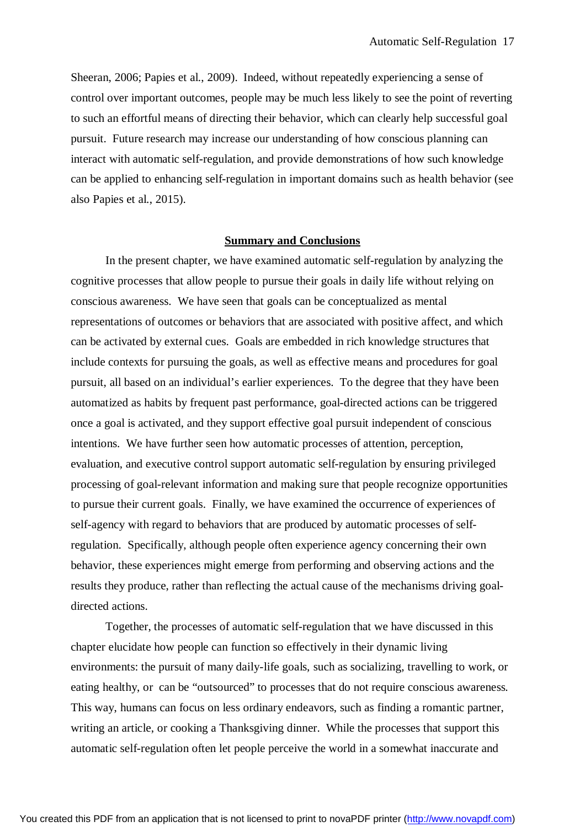Sheeran, 2006; Papies et al., 2009). Indeed, without repeatedly experiencing a sense of control over important outcomes, people may be much less likely to see the point of reverting to such an effortful means of directing their behavior, which can clearly help successful goal pursuit. Future research may increase our understanding of how conscious planning can interact with automatic self-regulation, and provide demonstrations of how such knowledge can be applied to enhancing self-regulation in important domains such as health behavior (see also Papies et al., 2015).

### **Summary and Conclusions**

In the present chapter, we have examined automatic self-regulation by analyzing the cognitive processes that allow people to pursue their goals in daily life without relying on conscious awareness. We have seen that goals can be conceptualized as mental representations of outcomes or behaviors that are associated with positive affect, and which can be activated by external cues. Goals are embedded in rich knowledge structures that include contexts for pursuing the goals, as well as effective means and procedures for goal pursuit, all based on an individual's earlier experiences. To the degree that they have been automatized as habits by frequent past performance, goal-directed actions can be triggered once a goal is activated, and they support effective goal pursuit independent of conscious intentions. We have further seen how automatic processes of attention, perception, evaluation, and executive control support automatic self-regulation by ensuring privileged processing of goal-relevant information and making sure that people recognize opportunities to pursue their current goals. Finally, we have examined the occurrence of experiences of self-agency with regard to behaviors that are produced by automatic processes of selfregulation. Specifically, although people often experience agency concerning their own behavior, these experiences might emerge from performing and observing actions and the results they produce, rather than reflecting the actual cause of the mechanisms driving goaldirected actions.

Together, the processes of automatic self-regulation that we have discussed in this chapter elucidate how people can function so effectively in their dynamic living environments: the pursuit of many daily-life goals, such as socializing, travelling to work, or eating healthy, or can be "outsourced" to processes that do not require conscious awareness. This way, humans can focus on less ordinary endeavors, such as finding a romantic partner, writing an article, or cooking a Thanksgiving dinner. While the processes that support this automatic self-regulation often let people perceive the world in a somewhat inaccurate and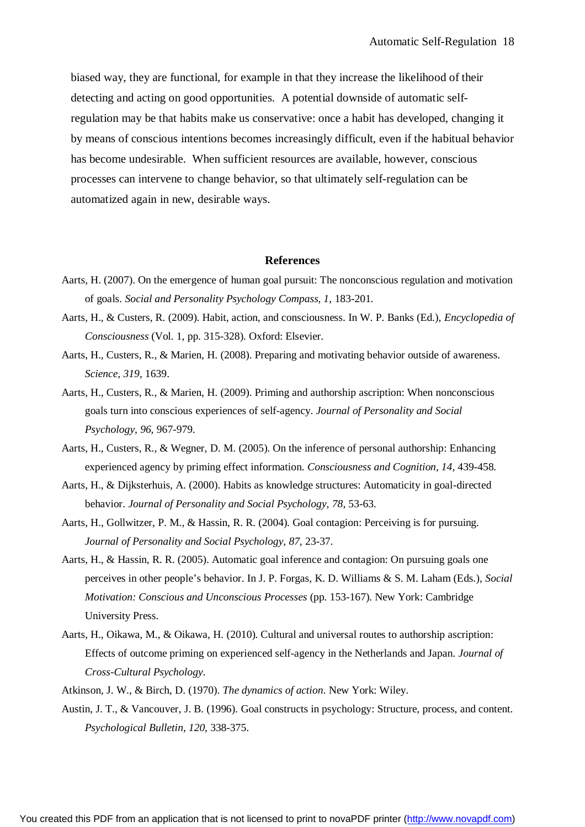biased way, they are functional, for example in that they increase the likelihood of their detecting and acting on good opportunities. A potential downside of automatic selfregulation may be that habits make us conservative: once a habit has developed, changing it by means of conscious intentions becomes increasingly difficult, even if the habitual behavior has become undesirable. When sufficient resources are available, however, conscious processes can intervene to change behavior, so that ultimately self-regulation can be automatized again in new, desirable ways.

#### **References**

- Aarts, H. (2007). On the emergence of human goal pursuit: The nonconscious regulation and motivation of goals. *Social and Personality Psychology Compass, 1*, 183-201.
- Aarts, H., & Custers, R. (2009). Habit, action, and consciousness. In W. P. Banks (Ed.), *Encyclopedia of Consciousness* (Vol. 1, pp. 315-328). Oxford: Elsevier.
- Aarts, H., Custers, R., & Marien, H. (2008). Preparing and motivating behavior outside of awareness. *Science, 319*, 1639.
- Aarts, H., Custers, R., & Marien, H. (2009). Priming and authorship ascription: When nonconscious goals turn into conscious experiences of self-agency. *Journal of Personality and Social Psychology, 96*, 967-979.
- Aarts, H., Custers, R., & Wegner, D. M. (2005). On the inference of personal authorship: Enhancing experienced agency by priming effect information. *Consciousness and Cognition, 14*, 439-458.
- Aarts, H., & Dijksterhuis, A. (2000). Habits as knowledge structures: Automaticity in goal-directed behavior. *Journal of Personality and Social Psychology, 78*, 53-63.
- Aarts, H., Gollwitzer, P. M., & Hassin, R. R. (2004). Goal contagion: Perceiving is for pursuing. *Journal of Personality and Social Psychology, 87*, 23-37.
- Aarts, H., & Hassin, R. R. (2005). Automatic goal inference and contagion: On pursuing goals one perceives in other people's behavior. In J. P. Forgas, K. D. Williams & S. M. Laham (Eds.), *Social Motivation: Conscious and Unconscious Processes* (pp. 153-167). New York: Cambridge University Press.
- Aarts, H., Oikawa, M., & Oikawa, H. (2010). Cultural and universal routes to authorship ascription: Effects of outcome priming on experienced self-agency in the Netherlands and Japan. *Journal of Cross-Cultural Psychology*.
- Atkinson, J. W., & Birch, D. (1970). *The dynamics of action*. New York: Wiley.
- Austin, J. T., & Vancouver, J. B. (1996). Goal constructs in psychology: Structure, process, and content. *Psychological Bulletin, 120*, 338-375.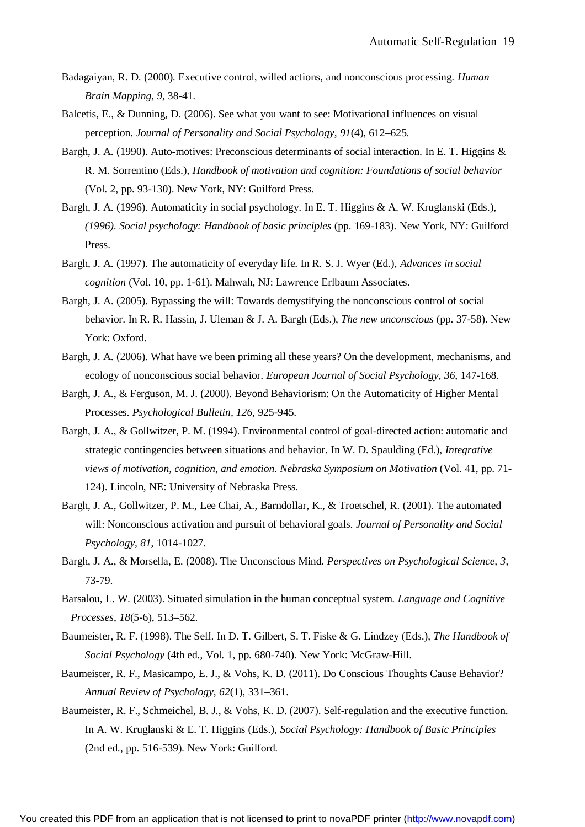- Badagaiyan, R. D. (2000). Executive control, willed actions, and nonconscious processing. *Human Brain Mapping, 9*, 38-41.
- Balcetis, E., & Dunning, D. (2006). See what you want to see: Motivational influences on visual perception. *Journal of Personality and Social Psychology*, *91*(4), 612–625.
- Bargh, J. A. (1990). Auto-motives: Preconscious determinants of social interaction. In E. T. Higgins & R. M. Sorrentino (Eds.), *Handbook of motivation and cognition: Foundations of social behavior* (Vol. 2, pp. 93-130). New York, NY: Guilford Press.
- Bargh, J. A. (1996). Automaticity in social psychology. In E. T. Higgins & A. W. Kruglanski (Eds.), *(1996). Social psychology: Handbook of basic principles* (pp. 169-183). New York, NY: Guilford Press.
- Bargh, J. A. (1997). The automaticity of everyday life. In R. S. J. Wyer (Ed.), *Advances in social cognition* (Vol. 10, pp. 1-61). Mahwah, NJ: Lawrence Erlbaum Associates.
- Bargh, J. A. (2005). Bypassing the will: Towards demystifying the nonconscious control of social behavior. In R. R. Hassin, J. Uleman & J. A. Bargh (Eds.), *The new unconscious* (pp. 37-58). New York: Oxford.
- Bargh, J. A. (2006). What have we been priming all these years? On the development, mechanisms, and ecology of nonconscious social behavior. *European Journal of Social Psychology, 36*, 147-168.
- Bargh, J. A., & Ferguson, M. J. (2000). Beyond Behaviorism: On the Automaticity of Higher Mental Processes. *Psychological Bulletin, 126*, 925-945.
- Bargh, J. A., & Gollwitzer, P. M. (1994). Environmental control of goal-directed action: automatic and strategic contingencies between situations and behavior. In W. D. Spaulding (Ed.), *Integrative views of motivation, cognition, and emotion. Nebraska Symposium on Motivation* (Vol. 41, pp. 71- 124). Lincoln, NE: University of Nebraska Press.
- Bargh, J. A., Gollwitzer, P. M., Lee Chai, A., Barndollar, K., & Troetschel, R. (2001). The automated will: Nonconscious activation and pursuit of behavioral goals. *Journal of Personality and Social Psychology, 81*, 1014-1027.
- Bargh, J. A., & Morsella, E. (2008). The Unconscious Mind. *Perspectives on Psychological Science, 3*, 73-79.
- Barsalou, L. W. (2003). Situated simulation in the human conceptual system. *Language and Cognitive Processes*, *18*(5-6), 513–562.
- Baumeister, R. F. (1998). The Self. In D. T. Gilbert, S. T. Fiske & G. Lindzey (Eds.), *The Handbook of Social Psychology* (4th ed., Vol. 1, pp. 680-740). New York: McGraw-Hill.
- Baumeister, R. F., Masicampo, E. J., & Vohs, K. D. (2011). Do Conscious Thoughts Cause Behavior? *Annual Review of Psychology*, *62*(1), 331–361.
- Baumeister, R. F., Schmeichel, B. J., & Vohs, K. D. (2007). Self-regulation and the executive function. In A. W. Kruglanski & E. T. Higgins (Eds.), *Social Psychology: Handbook of Basic Principles* (2nd ed., pp. 516-539). New York: Guilford.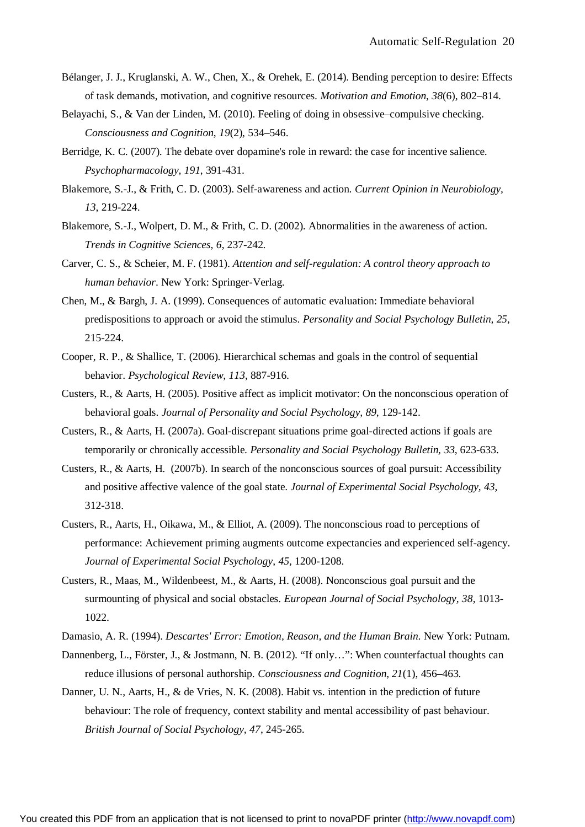- Bélanger, J. J., Kruglanski, A. W., Chen, X., & Orehek, E. (2014). Bending perception to desire: Effects of task demands, motivation, and cognitive resources. *Motivation and Emotion*, *38*(6), 802–814.
- Belayachi, S., & Van der Linden, M. (2010). Feeling of doing in obsessive–compulsive checking. *Consciousness and Cognition*, *19*(2), 534–546.
- Berridge, K. C. (2007). The debate over dopamine's role in reward: the case for incentive salience. *Psychopharmacology, 191*, 391-431.
- Blakemore, S.-J., & Frith, C. D. (2003). Self-awareness and action. *Current Opinion in Neurobiology, 13*, 219-224.
- Blakemore, S.-J., Wolpert, D. M., & Frith, C. D. (2002). Abnormalities in the awareness of action. *Trends in Cognitive Sciences, 6*, 237-242.
- Carver, C. S., & Scheier, M. F. (1981). *Attention and self-regulation: A control theory approach to human behavior*. New York: Springer-Verlag.
- Chen, M., & Bargh, J. A. (1999). Consequences of automatic evaluation: Immediate behavioral predispositions to approach or avoid the stimulus. *Personality and Social Psychology Bulletin, 25*, 215-224.
- Cooper, R. P., & Shallice, T. (2006). Hierarchical schemas and goals in the control of sequential behavior. *Psychological Review, 113*, 887-916.
- Custers, R., & Aarts, H. (2005). Positive affect as implicit motivator: On the nonconscious operation of behavioral goals. *Journal of Personality and Social Psychology, 89*, 129-142.
- Custers, R., & Aarts, H. (2007a). Goal-discrepant situations prime goal-directed actions if goals are temporarily or chronically accessible. *Personality and Social Psychology Bulletin, 33*, 623-633.
- Custers, R., & Aarts, H. (2007b). In search of the nonconscious sources of goal pursuit: Accessibility and positive affective valence of the goal state. *Journal of Experimental Social Psychology, 43*, 312-318.
- Custers, R., Aarts, H., Oikawa, M., & Elliot, A. (2009). The nonconscious road to perceptions of performance: Achievement priming augments outcome expectancies and experienced self-agency. *Journal of Experimental Social Psychology*, *45,* 1200-1208.
- Custers, R., Maas, M., Wildenbeest, M., & Aarts, H. (2008). Nonconscious goal pursuit and the surmounting of physical and social obstacles. *European Journal of Social Psychology, 38*, 1013- 1022.
- Damasio, A. R. (1994). *Descartes' Error: Emotion, Reason, and the Human Brain*. New York: Putnam.
- Dannenberg, L., Förster, J., & Jostmann, N. B. (2012). "If only…": When counterfactual thoughts can reduce illusions of personal authorship. *Consciousness and Cognition*, *21*(1), 456–463.
- Danner, U. N., Aarts, H., & de Vries, N. K. (2008). Habit vs. intention in the prediction of future behaviour: The role of frequency, context stability and mental accessibility of past behaviour. *British Journal of Social Psychology, 47*, 245-265.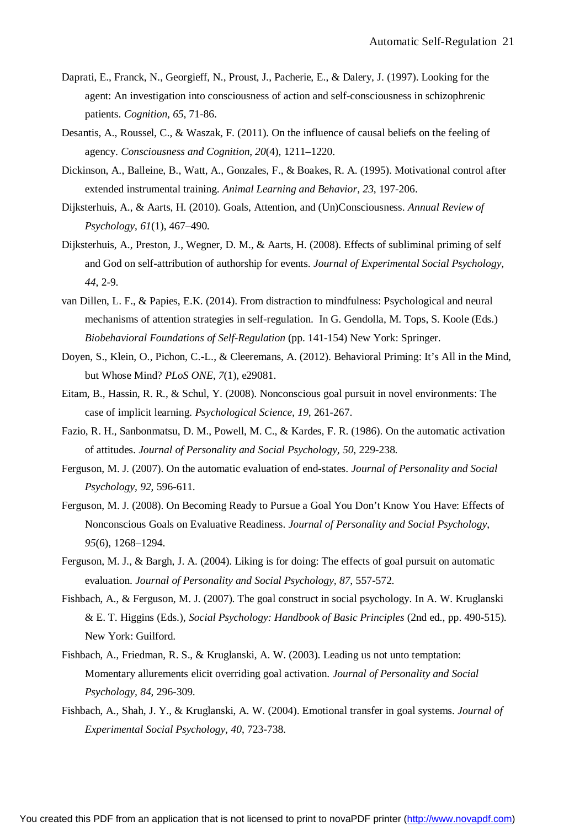- Daprati, E., Franck, N., Georgieff, N., Proust, J., Pacherie, E., & Dalery, J. (1997). Looking for the agent: An investigation into consciousness of action and self-consciousness in schizophrenic patients. *Cognition, 65*, 71-86.
- Desantis, A., Roussel, C., & Waszak, F. (2011). On the influence of causal beliefs on the feeling of agency. *Consciousness and Cognition*, *20*(4), 1211–1220.
- Dickinson, A., Balleine, B., Watt, A., Gonzales, F., & Boakes, R. A. (1995). Motivational control after extended instrumental training. *Animal Learning and Behavior, 23*, 197-206.
- Dijksterhuis, A., & Aarts, H. (2010). Goals, Attention, and (Un)Consciousness. *Annual Review of Psychology*, *61*(1), 467–490.
- Dijksterhuis, A., Preston, J., Wegner, D. M., & Aarts, H. (2008). Effects of subliminal priming of self and God on self-attribution of authorship for events. *Journal of Experimental Social Psychology, 44*, 2-9.
- van Dillen, L. F., & Papies, E.K. (2014). From distraction to mindfulness: Psychological and neural mechanisms of attention strategies in self-regulation. In G. Gendolla, M. Tops, S. Koole (Eds.) *Biobehavioral Foundations of Self-Regulation* (pp. 141-154) New York: Springer.
- Doyen, S., Klein, O., Pichon, C.-L., & Cleeremans, A. (2012). Behavioral Priming: It's All in the Mind, but Whose Mind? *PLoS ONE*, *7*(1), e29081.
- Eitam, B., Hassin, R. R., & Schul, Y. (2008). Nonconscious goal pursuit in novel environments: The case of implicit learning. *Psychological Science, 19*, 261-267.
- Fazio, R. H., Sanbonmatsu, D. M., Powell, M. C., & Kardes, F. R. (1986). On the automatic activation of attitudes. *Journal of Personality and Social Psychology, 50*, 229-238.
- Ferguson, M. J. (2007). On the automatic evaluation of end-states. *Journal of Personality and Social Psychology, 92*, 596-611.
- Ferguson, M. J. (2008). On Becoming Ready to Pursue a Goal You Don't Know You Have: Effects of Nonconscious Goals on Evaluative Readiness. *Journal of Personality and Social Psychology*, *95*(6), 1268–1294.
- Ferguson, M. J., & Bargh, J. A. (2004). Liking is for doing: The effects of goal pursuit on automatic evaluation. *Journal of Personality and Social Psychology, 87*, 557-572.
- Fishbach, A., & Ferguson, M. J. (2007). The goal construct in social psychology. In A. W. Kruglanski & E. T. Higgins (Eds.), *Social Psychology: Handbook of Basic Principles* (2nd ed., pp. 490-515). New York: Guilford.
- Fishbach, A., Friedman, R. S., & Kruglanski, A. W. (2003). Leading us not unto temptation: Momentary allurements elicit overriding goal activation. *Journal of Personality and Social Psychology, 84*, 296-309.
- Fishbach, A., Shah, J. Y., & Kruglanski, A. W. (2004). Emotional transfer in goal systems. *Journal of Experimental Social Psychology, 40*, 723-738.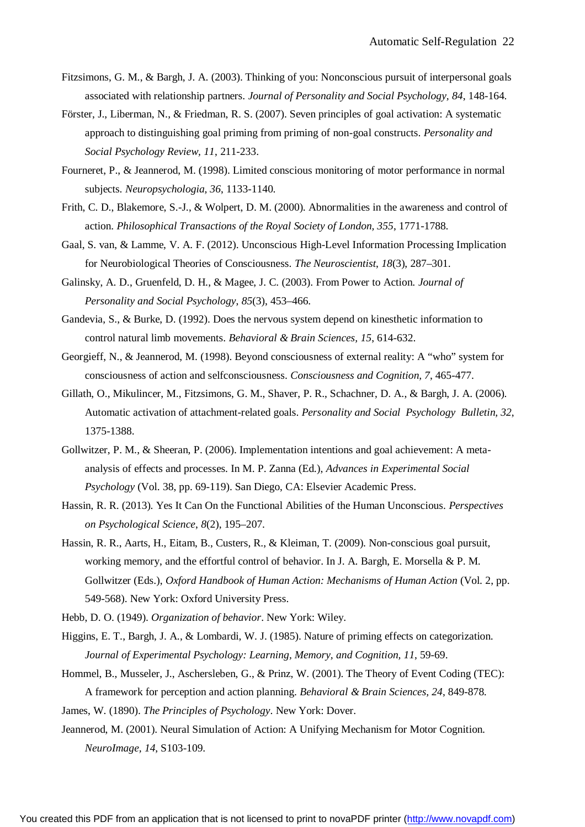- Fitzsimons, G. M., & Bargh, J. A. (2003). Thinking of you: Nonconscious pursuit of interpersonal goals associated with relationship partners. *Journal of Personality and Social Psychology, 84*, 148-164.
- Förster, J., Liberman, N., & Friedman, R. S. (2007). Seven principles of goal activation: A systematic approach to distinguishing goal priming from priming of non-goal constructs. *Personality and Social Psychology Review, 11*, 211-233.
- Fourneret, P., & Jeannerod, M. (1998). Limited conscious monitoring of motor performance in normal subjects. *Neuropsychologia, 36*, 1133-1140.
- Frith, C. D., Blakemore, S.-J., & Wolpert, D. M. (2000). Abnormalities in the awareness and control of action. *Philosophical Transactions of the Royal Society of London, 355*, 1771-1788.
- Gaal, S. van, & Lamme, V. A. F. (2012). Unconscious High-Level Information Processing Implication for Neurobiological Theories of Consciousness. *The Neuroscientist*, *18*(3), 287–301.
- Galinsky, A. D., Gruenfeld, D. H., & Magee, J. C. (2003). From Power to Action. *Journal of Personality and Social Psychology*, *85*(3), 453–466.
- Gandevia, S., & Burke, D. (1992). Does the nervous system depend on kinesthetic information to control natural limb movements. *Behavioral & Brain Sciences, 15*, 614-632.
- Georgieff, N., & Jeannerod, M. (1998). Beyond consciousness of external reality: A "who" system for consciousness of action and selfconsciousness. *Consciousness and Cognition, 7*, 465-477.
- Gillath, O., Mikulincer, M., Fitzsimons, G. M., Shaver, P. R., Schachner, D. A., & Bargh, J. A. (2006). Automatic activation of attachment-related goals. *Personality and Social Psychology Bulletin, 32*, 1375-1388.
- Gollwitzer, P. M., & Sheeran, P. (2006). Implementation intentions and goal achievement: A metaanalysis of effects and processes. In M. P. Zanna (Ed.), *Advances in Experimental Social Psychology* (Vol. 38, pp. 69-119). San Diego, CA: Elsevier Academic Press.
- Hassin, R. R. (2013). Yes It Can On the Functional Abilities of the Human Unconscious. *Perspectives on Psychological Science*, *8*(2), 195–207.
- Hassin, R. R., Aarts, H., Eitam, B., Custers, R., & Kleiman, T. (2009). Non-conscious goal pursuit, working memory, and the effortful control of behavior. In J. A. Bargh, E. Morsella & P. M. Gollwitzer (Eds.), *Oxford Handbook of Human Action: Mechanisms of Human Action* (Vol. 2, pp. 549-568). New York: Oxford University Press.
- Hebb, D. O. (1949). *Organization of behavior*. New York: Wiley.
- Higgins, E. T., Bargh, J. A., & Lombardi, W. J. (1985). Nature of priming effects on categorization. *Journal of Experimental Psychology: Learning, Memory, and Cognition, 11*, 59-69.
- Hommel, B., Musseler, J., Aschersleben, G., & Prinz, W. (2001). The Theory of Event Coding (TEC): A framework for perception and action planning. *Behavioral & Brain Sciences, 24*, 849-878.
- James, W. (1890). *The Principles of Psychology*. New York: Dover.
- Jeannerod, M. (2001). Neural Simulation of Action: A Unifying Mechanism for Motor Cognition. *NeuroImage, 14*, S103-109.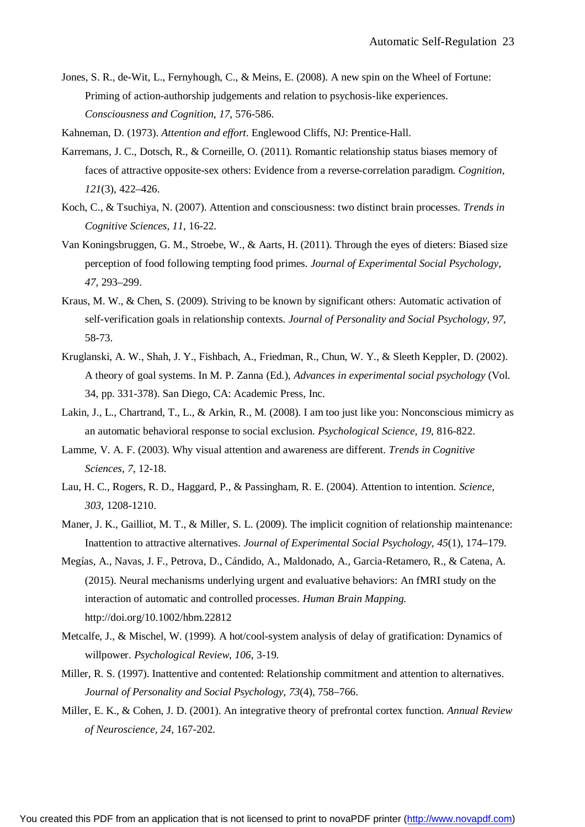Jones, S. R., de-Wit, L., Fernyhough, C., & Meins, E. (2008). A new spin on the Wheel of Fortune: Priming of action-authorship judgements and relation to psychosis-like experiences. *Consciousness and Cognition, 17*, 576-586.

Kahneman, D. (1973). *Attention and effort*. Englewood Cliffs, NJ: Prentice-Hall.

- Karremans, J. C., Dotsch, R., & Corneille, O. (2011). Romantic relationship status biases memory of faces of attractive opposite-sex others: Evidence from a reverse-correlation paradigm. *Cognition*, *121*(3), 422–426.
- Koch, C., & Tsuchiya, N. (2007). Attention and consciousness: two distinct brain processes. *Trends in Cognitive Sciences, 11*, 16-22.
- Van Koningsbruggen, G. M., Stroebe, W., & Aarts, H. (2011). Through the eyes of dieters: Biased size perception of food following tempting food primes. *Journal of Experimental Social Psychology*, *47*, 293–299.
- Kraus, M. W., & Chen, S. (2009). Striving to be known by significant others: Automatic activation of self-verification goals in relationship contexts. *Journal of Personality and Social Psychology, 97*, 58-73.
- Kruglanski, A. W., Shah, J. Y., Fishbach, A., Friedman, R., Chun, W. Y., & Sleeth Keppler, D. (2002). A theory of goal systems. In M. P. Zanna (Ed.), *Advances in experimental social psychology* (Vol. 34, pp. 331-378). San Diego, CA: Academic Press, Inc.
- Lakin, J., L., Chartrand, T., L., & Arkin, R., M. (2008). I am too just like you: Nonconscious mimicry as an automatic behavioral response to social exclusion. *Psychological Science, 19*, 816-822.
- Lamme, V. A. F. (2003). Why visual attention and awareness are different. *Trends in Cognitive Sciences, 7*, 12-18.
- Lau, H. C., Rogers, R. D., Haggard, P., & Passingham, R. E. (2004). Attention to intention. *Science, 303*, 1208-1210.
- Maner, J. K., Gailliot, M. T., & Miller, S. L. (2009). The implicit cognition of relationship maintenance: Inattention to attractive alternatives. *Journal of Experimental Social Psychology*, *45*(1), 174–179.
- Megías, A., Navas, J. F., Petrova, D., Cándido, A., Maldonado, A., Garcia-Retamero, R., & Catena, A. (2015). Neural mechanisms underlying urgent and evaluative behaviors: An fMRI study on the interaction of automatic and controlled processes. *Human Brain Mapping.* <http://doi.org/10.1002/hbm.22812>
- Metcalfe, J., & Mischel, W. (1999). A hot/cool-system analysis of delay of gratification: Dynamics of willpower. *Psychological Review, 106*, 3-19.
- Miller, R. S. (1997). Inattentive and contented: Relationship commitment and attention to alternatives. *Journal of Personality and Social Psychology*, *73*(4), 758–766.
- Miller, E. K., & Cohen, J. D. (2001). An integrative theory of prefrontal cortex function. *Annual Review of Neuroscience, 24*, 167-202.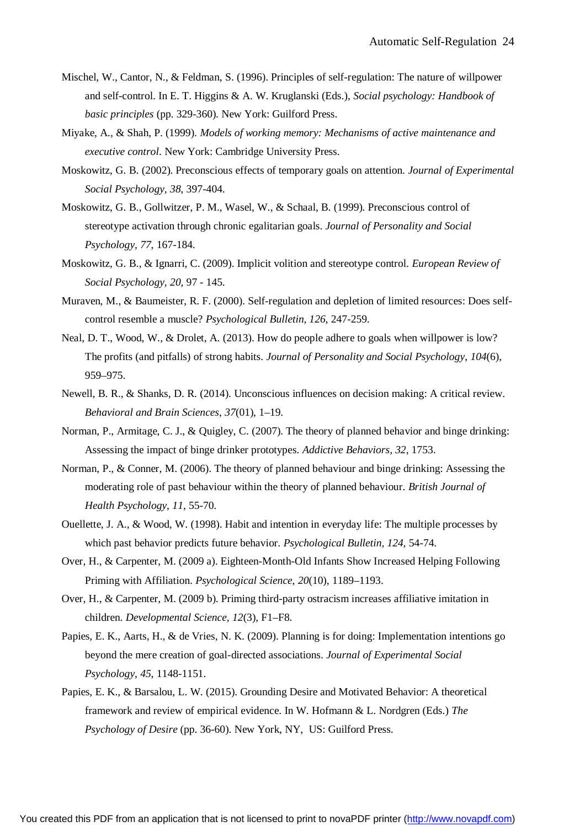- Mischel, W., Cantor, N., & Feldman, S. (1996). Principles of self-regulation: The nature of willpower and self-control. In E. T. Higgins & A. W. Kruglanski (Eds.), *Social psychology: Handbook of basic principles* (pp. 329-360). New York: Guilford Press.
- Miyake, A., & Shah, P. (1999). *Models of working memory: Mechanisms of active maintenance and executive control*. New York: Cambridge University Press.
- Moskowitz, G. B. (2002). Preconscious effects of temporary goals on attention. *Journal of Experimental Social Psychology, 38*, 397-404.
- Moskowitz, G. B., Gollwitzer, P. M., Wasel, W., & Schaal, B. (1999). Preconscious control of stereotype activation through chronic egalitarian goals. *Journal of Personality and Social Psychology, 77*, 167-184.
- Moskowitz, G. B., & Ignarri, C. (2009). Implicit volition and stereotype control. *European Review of Social Psychology, 20*, 97 - 145.
- Muraven, M., & Baumeister, R. F. (2000). Self-regulation and depletion of limited resources: Does selfcontrol resemble a muscle? *Psychological Bulletin, 126*, 247-259.
- Neal, D. T., Wood, W., & Drolet, A. (2013). How do people adhere to goals when willpower is low? The profits (and pitfalls) of strong habits. *Journal of Personality and Social Psychology*, *104*(6), 959–975.
- Newell, B. R., & Shanks, D. R. (2014). Unconscious influences on decision making: A critical review. *Behavioral and Brain Sciences*, *37*(01), 1–19.
- Norman, P., Armitage, C. J., & Quigley, C. (2007). The theory of planned behavior and binge drinking: Assessing the impact of binge drinker prototypes. *Addictive Behaviors, 32*, 1753.
- Norman, P., & Conner, M. (2006). The theory of planned behaviour and binge drinking: Assessing the moderating role of past behaviour within the theory of planned behaviour. *British Journal of Health Psychology, 11*, 55-70.
- Ouellette, J. A., & Wood, W. (1998). Habit and intention in everyday life: The multiple processes by which past behavior predicts future behavior. *Psychological Bulletin, 124*, 54-74.
- Over, H., & Carpenter, M. (2009 a). Eighteen-Month-Old Infants Show Increased Helping Following Priming with Affiliation. *Psychological Science*, *20*(10), 1189–1193.
- Over, H., & Carpenter, M. (2009 b). Priming third-party ostracism increases affiliative imitation in children. *Developmental Science*, *12*(3), F1–F8.
- Papies, E. K., Aarts, H., & de Vries, N. K. (2009). Planning is for doing: Implementation intentions go beyond the mere creation of goal-directed associations. *Journal of Experimental Social Psychology, 45*, 1148-1151.
- Papies, E. K., & Barsalou, L. W. (2015). Grounding Desire and Motivated Behavior: A theoretical framework and review of empirical evidence. In W. Hofmann & L. Nordgren (Eds.) *The Psychology of Desire* (pp. 36-60). New York, NY, US: Guilford Press.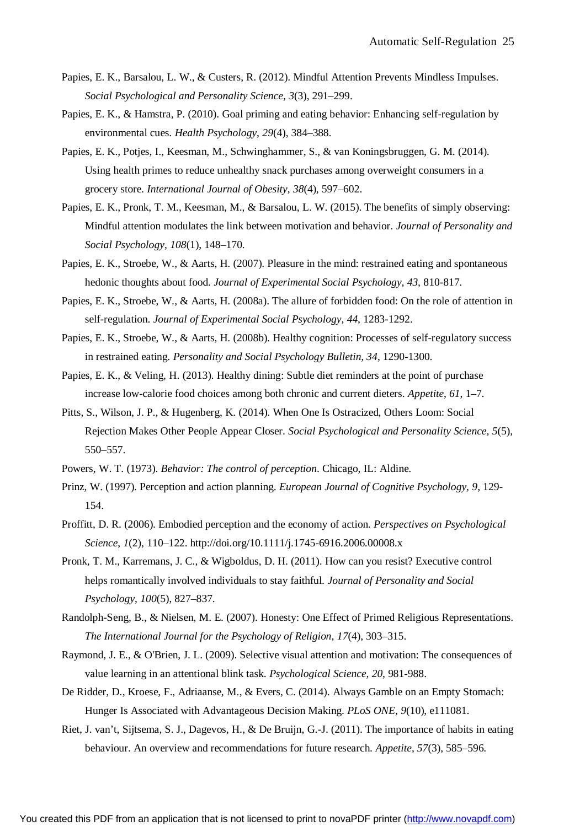- Papies, E. K., Barsalou, L. W., & Custers, R. (2012). Mindful Attention Prevents Mindless Impulses. *Social Psychological and Personality Science*, *3*(3), 291–299.
- Papies, E. K., & Hamstra, P. (2010). Goal priming and eating behavior: Enhancing self-regulation by environmental cues. *Health Psychology*, *29*(4), 384–388.
- Papies, E. K., Potjes, I., Keesman, M., Schwinghammer, S., & van Koningsbruggen, G. M. (2014). Using health primes to reduce unhealthy snack purchases among overweight consumers in a grocery store. *International Journal of Obesity*, *38*(4), 597–602.
- Papies, E. K., Pronk, T. M., Keesman, M., & Barsalou, L. W. (2015). The benefits of simply observing: Mindful attention modulates the link between motivation and behavior. *Journal of Personality and Social Psychology*, *108*(1), 148–170.
- Papies, E. K., Stroebe, W., & Aarts, H. (2007). Pleasure in the mind: restrained eating and spontaneous hedonic thoughts about food. *Journal of Experimental Social Psychology, 43*, 810-817.
- Papies, E. K., Stroebe, W., & Aarts, H. (2008a). The allure of forbidden food: On the role of attention in self-regulation. *Journal of Experimental Social Psychology, 44*, 1283-1292.
- Papies, E. K., Stroebe, W., & Aarts, H. (2008b). Healthy cognition: Processes of self-regulatory success in restrained eating. *Personality and Social Psychology Bulletin, 34*, 1290-1300.
- Papies, E. K., & Veling, H. (2013). Healthy dining: Subtle diet reminders at the point of purchase increase low-calorie food choices among both chronic and current dieters. *Appetite*, *61*, 1–7.
- Pitts, S., Wilson, J. P., & Hugenberg, K. (2014). When One Is Ostracized, Others Loom: Social Rejection Makes Other People Appear Closer. *Social Psychological and Personality Science*, *5*(5), 550–557.
- Powers, W. T. (1973). *Behavior: The control of perception*. Chicago, IL: Aldine.
- Prinz, W. (1997). Perception and action planning. *European Journal of Cognitive Psychology, 9*, 129- 154.
- Proffitt, D. R. (2006). Embodied perception and the economy of action. *Perspectives on Psychological Science*, *1*(2), 110–122.<http://doi.org/10.1111/j.1745-6916.2006.00008.x>
- Pronk, T. M., Karremans, J. C., & Wigboldus, D. H. (2011). How can you resist? Executive control helps romantically involved individuals to stay faithful. *Journal of Personality and Social Psychology*, *100*(5), 827–837.
- Randolph-Seng, B., & Nielsen, M. E. (2007). Honesty: One Effect of Primed Religious Representations. *The International Journal for the Psychology of Religion*, *17*(4), 303–315.
- Raymond, J. E., & O'Brien, J. L. (2009). Selective visual attention and motivation: The consequences of value learning in an attentional blink task. *Psychological Science, 20,* 981-988.
- De Ridder, D., Kroese, F., Adriaanse, M., & Evers, C. (2014). Always Gamble on an Empty Stomach: Hunger Is Associated with Advantageous Decision Making. *PLoS ONE*, *9*(10), e111081.
- Riet, J. van't, Sijtsema, S. J., Dagevos, H., & De Bruijn, G.-J. (2011). The importance of habits in eating behaviour. An overview and recommendations for future research. *Appetite*, *57*(3), 585–596.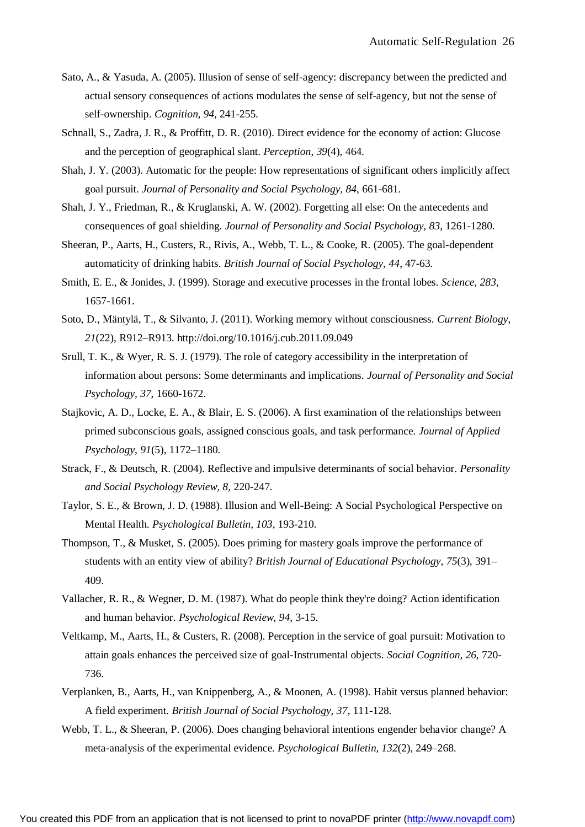- Sato, A., & Yasuda, A. (2005). Illusion of sense of self-agency: discrepancy between the predicted and actual sensory consequences of actions modulates the sense of self-agency, but not the sense of self-ownership. *Cognition, 94*, 241-255.
- Schnall, S., Zadra, J. R., & Proffitt, D. R. (2010). Direct evidence for the economy of action: Glucose and the perception of geographical slant. *Perception*, *39*(4), 464.
- Shah, J. Y. (2003). Automatic for the people: How representations of significant others implicitly affect goal pursuit. *Journal of Personality and Social Psychology, 84*, 661-681.
- Shah, J. Y., Friedman, R., & Kruglanski, A. W. (2002). Forgetting all else: On the antecedents and consequences of goal shielding. *Journal of Personality and Social Psychology, 83*, 1261-1280.
- Sheeran, P., Aarts, H., Custers, R., Rivis, A., Webb, T. L., & Cooke, R. (2005). The goal-dependent automaticity of drinking habits. *British Journal of Social Psychology, 44*, 47-63.
- Smith, E. E., & Jonides, J. (1999). Storage and executive processes in the frontal lobes. *Science, 283*, 1657-1661.
- Soto, D., Mäntylä, T., & Silvanto, J. (2011). Working memory without consciousness. *Current Biology*, *21*(22), R912–R913.<http://doi.org/10.1016/j.cub.2011.09.049>
- Srull, T. K., & Wyer, R. S. J. (1979). The role of category accessibility in the interpretation of information about persons: Some determinants and implications. *Journal of Personality and Social Psychology, 37*, 1660-1672.
- Stajkovic, A. D., Locke, E. A., & Blair, E. S. (2006). A first examination of the relationships between primed subconscious goals, assigned conscious goals, and task performance. *Journal of Applied Psychology*, *91*(5), 1172–1180.
- Strack, F., & Deutsch, R. (2004). Reflective and impulsive determinants of social behavior. *Personality and Social Psychology Review, 8*, 220-247.
- Taylor, S. E., & Brown, J. D. (1988). Illusion and Well-Being: A Social Psychological Perspective on Mental Health. *Psychological Bulletin, 103*, 193-210.
- Thompson, T., & Musket, S. (2005). Does priming for mastery goals improve the performance of students with an entity view of ability? *British Journal of Educational Psychology*, *75*(3), 391– 409.
- Vallacher, R. R., & Wegner, D. M. (1987). What do people think they're doing? Action identification and human behavior. *Psychological Review, 94*, 3-15.
- Veltkamp, M., Aarts, H., & Custers, R. (2008). Perception in the service of goal pursuit: Motivation to attain goals enhances the perceived size of goal-Instrumental objects. *Social Cognition, 26*, 720- 736.
- Verplanken, B., Aarts, H., van Knippenberg, A., & Moonen, A. (1998). Habit versus planned behavior: A field experiment. *British Journal of Social Psychology, 37*, 111-128.
- Webb, T. L., & Sheeran, P. (2006). Does changing behavioral intentions engender behavior change? A meta-analysis of the experimental evidence. *Psychological Bulletin, 132*(2), 249–268.